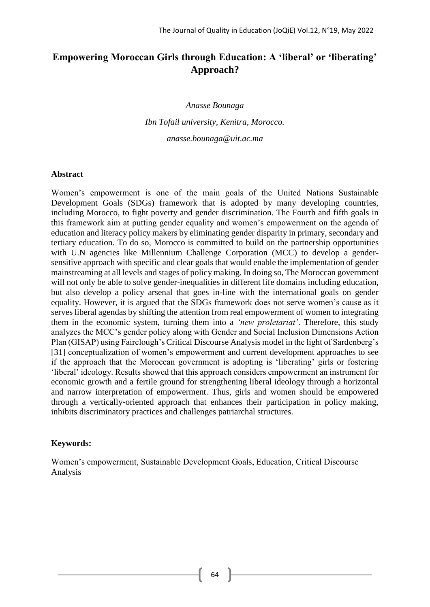# **Empowering Moroccan Girls through Education: A 'liberal' or 'liberating' Approach?**

*Anasse Bounaga*

*Ibn Tofail university, Kenitra, Morocco. anasse.bounaga@uit.ac.ma*

#### **Abstract**

Women's empowerment is one of the main goals of the United Nations Sustainable Development Goals (SDGs) framework that is adopted by many developing countries, including Morocco, to fight poverty and gender discrimination. The Fourth and fifth goals in this framework aim at putting gender equality and women's empowerment on the agenda of education and literacy policy makers by eliminating gender disparity in primary, secondary and tertiary education. To do so, Morocco is committed to build on the partnership opportunities with U.N agencies like Millennium Challenge Corporation (MCC) to develop a gendersensitive approach with specific and clear goals that would enable the implementation of gender mainstreaming at all levels and stages of policy making. In doing so, The Moroccan government will not only be able to solve gender-inequalities in different life domains including education, but also develop a policy arsenal that goes in-line with the international goals on gender equality. However, it is argued that the SDGs framework does not serve women's cause as it serves liberal agendas by shifting the attention from real empowerment of women to integrating them in the economic system, turning them into a *'new proletariat'*. Therefore, this study analyzes the MCC's gender policy along with Gender and Social Inclusion Dimensions Action Plan (GISAP) using Fairclough'sCritical Discourse Analysis model in the light of Sardenberg's [31] conceptualization of women's empowerment and current development approaches to see if the approach that the Moroccan government is adopting is 'liberating' girls or fostering 'liberal' ideology. Results showed that this approach considers empowerment an instrument for economic growth and a fertile ground for strengthening liberal ideology through a horizontal and narrow interpretation of empowerment. Thus, girls and women should be empowered through a vertically-oriented approach that enhances their participation in policy making, inhibits discriminatory practices and challenges patriarchal structures.

#### **Keywords:**

Women's empowerment, Sustainable Development Goals, Education, Critical Discourse Analysis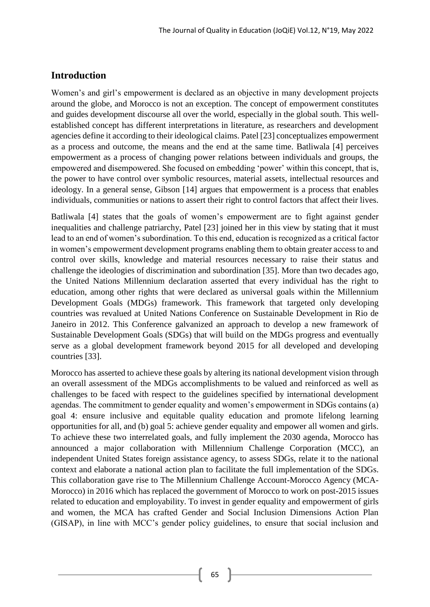## **Introduction**

Women's and girl's empowerment is declared as an objective in many development projects around the globe, and Morocco is not an exception. The concept of empowerment constitutes and guides development discourse all over the world, especially in the global south. This wellestablished concept has different interpretations in literature, as researchers and development agencies define it according to their ideological claims. Patel [23] conceptualizes empowerment as a process and outcome, the means and the end at the same time. Batliwala [4] perceives empowerment as a process of changing power relations between individuals and groups, the empowered and disempowered. She focused on embedding 'power' within this concept, that is, the power to have control over symbolic resources, material assets, intellectual resources and ideology. In a general sense, Gibson [14] argues that empowerment is a process that enables individuals, communities or nations to assert their right to control factors that affect their lives.

Batliwala [4] states that the goals of women's empowerment are to fight against gender inequalities and challenge patriarchy, Patel [23] joined her in this view by stating that it must lead to an end of women's subordination. To this end, education is recognized as a critical factor in women's empowerment development programs enabling them to obtain greater access to and control over skills, knowledge and material resources necessary to raise their status and challenge the ideologies of discrimination and subordination [35]. More than two decades ago, the United Nations Millennium declaration asserted that every individual has the right to education, among other rights that were declared as universal goals within the Millennium Development Goals (MDGs) framework. This framework that targeted only developing countries was revalued at United Nations Conference on Sustainable Development in Rio de Janeiro in 2012. This Conference galvanized an approach to develop a new framework of Sustainable Development Goals (SDGs) that will build on the MDGs progress and eventually serve as a global development framework beyond 2015 for all developed and developing countries [33].

Morocco has asserted to achieve these goals by altering its national development vision through an overall assessment of the MDGs accomplishments to be valued and reinforced as well as challenges to be faced with respect to the guidelines specified by international development agendas. The commitment to gender equality and women's empowerment in SDGs contains (a) goal 4: ensure inclusive and equitable quality education and promote lifelong learning opportunities for all, and (b) goal 5: achieve gender equality and empower all women and girls. To achieve these two interrelated goals, and fully implement the 2030 agenda, Morocco has announced a major collaboration with Millennium Challenge Corporation (MCC), an independent United States foreign assistance agency, to assess SDGs, relate it to the national context and elaborate a national action plan to facilitate the full implementation of the SDGs. This collaboration gave rise to The Millennium Challenge Account-Morocco Agency (MCA-Morocco) in 2016 which has replaced the government of Morocco to work on post-2015 issues related to education and employability. To invest in gender equality and empowerment of girls and women, the MCA has crafted Gender and Social Inclusion Dimensions Action Plan (GISAP), in line with MCC's gender policy guidelines, to ensure that social inclusion and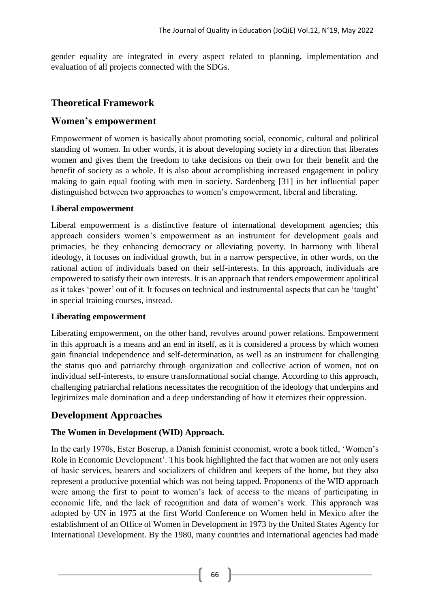gender equality are integrated in every aspect related to planning, implementation and evaluation of all projects connected with the SDGs.

# **Theoretical Framework**

## **Women's empowerment**

Empowerment of women is basically about promoting social, economic, cultural and political standing of women. In other words, it is about developing society in a direction that liberates women and gives them the freedom to take decisions on their own for their benefit and the benefit of society as a whole. It is also about accomplishing increased engagement in policy making to gain equal footing with men in society. Sardenberg [31] in her influential paper distinguished between two approaches to women's empowerment, liberal and liberating.

#### **Liberal empowerment**

Liberal empowerment is a distinctive feature of international development agencies; this approach considers women's empowerment as an instrument for development goals and primacies, be they enhancing democracy or alleviating poverty. In harmony with liberal ideology, it focuses on individual growth, but in a narrow perspective, in other words, on the rational action of individuals based on their self-interests. In this approach, individuals are empowered to satisfy their own interests. It is an approach that renders empowerment apolitical as it takes 'power' out of it. It focuses on technical and instrumental aspects that can be 'taught' in special training courses, instead.

## **Liberating empowerment**

Liberating empowerment, on the other hand, revolves around power relations. Empowerment in this approach is a means and an end in itself, as it is considered a process by which women gain financial independence and self-determination, as well as an instrument for challenging the status quo and patriarchy through organization and collective action of women, not on individual self-interests, to ensure transformational social change. According to this approach, challenging patriarchal relations necessitates the recognition of the ideology that underpins and legitimizes male domination and a deep understanding of how it eternizes their oppression.

## **Development Approaches**

## **The Women in Development (WID) Approach.**

In the early 1970s, Ester Boserup, a Danish feminist economist, wrote a book titled, 'Women's Role in Economic Development'. This book highlighted the fact that women are not only users of basic services, bearers and socializers of children and keepers of the home, but they also represent a productive potential which was not being tapped. Proponents of the WID approach were among the first to point to women's lack of access to the means of participating in economic life, and the lack of recognition and data of women's work. This approach was adopted by UN in 1975 at the first World Conference on Women held in Mexico after the establishment of an Office of Women in Development in 1973 by the United States Agency for International Development. By the 1980, many countries and international agencies had made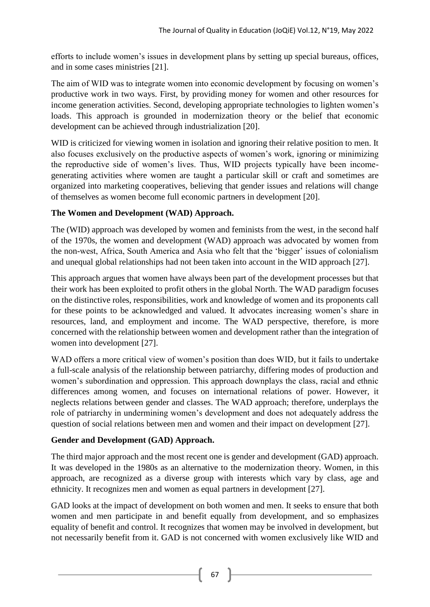efforts to include women's issues in development plans by setting up special bureaus, offices, and in some cases ministries [21].

The aim of WID was to integrate women into economic development by focusing on women's productive work in two ways. First, by providing money for women and other resources for income generation activities. Second, developing appropriate technologies to lighten women's loads. This approach is grounded in modernization theory or the belief that economic development can be achieved through industrialization [20].

WID is criticized for viewing women in isolation and ignoring their relative position to men. It also focuses exclusively on the productive aspects of women's work, ignoring or minimizing the reproductive side of women's lives. Thus, WID projects typically have been incomegenerating activities where women are taught a particular skill or craft and sometimes are organized into marketing cooperatives, believing that gender issues and relations will change of themselves as women become full economic partners in development [20].

## **The Women and Development (WAD) Approach.**

The (WID) approach was developed by women and feminists from the west, in the second half of the 1970s, the women and development (WAD) approach was advocated by women from the non-west, Africa, South America and Asia who felt that the 'bigger' issues of colonialism and unequal global relationships had not been taken into account in the WID approach [27].

This approach argues that women have always been part of the development processes but that their work has been exploited to profit others in the global North. The WAD paradigm focuses on the distinctive roles, responsibilities, work and knowledge of women and its proponents call for these points to be acknowledged and valued. It advocates increasing women's share in resources, land, and employment and income. The WAD perspective, therefore, is more concerned with the relationship between women and development rather than the integration of women into development [27].

WAD offers a more critical view of women's position than does WID, but it fails to undertake a full-scale analysis of the relationship between patriarchy, differing modes of production and women's subordination and oppression. This approach downplays the class, racial and ethnic differences among women, and focuses on international relations of power. However, it neglects relations between gender and classes. The WAD approach; therefore, underplays the role of patriarchy in undermining women's development and does not adequately address the question of social relations between men and women and their impact on development [27].

## **Gender and Development (GAD) Approach.**

The third major approach and the most recent one is gender and development (GAD) approach. It was developed in the 1980s as an alternative to the modernization theory. Women, in this approach, are recognized as a diverse group with interests which vary by class, age and ethnicity. It recognizes men and women as equal partners in development [27].

GAD looks at the impact of development on both women and men. It seeks to ensure that both women and men participate in and benefit equally from development, and so emphasizes equality of benefit and control. It recognizes that women may be involved in development, but not necessarily benefit from it. GAD is not concerned with women exclusively like WID and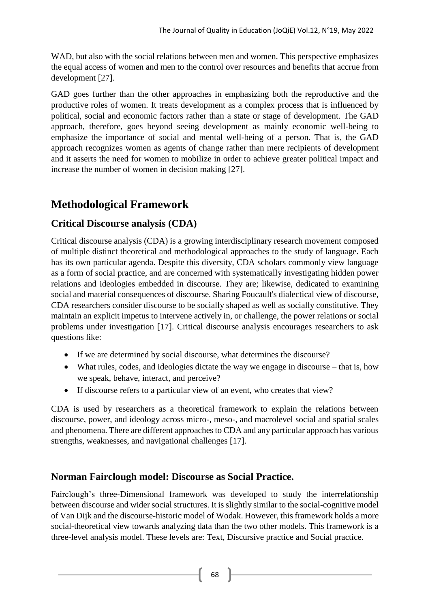WAD, but also with the social relations between men and women. This perspective emphasizes the equal access of women and men to the control over resources and benefits that accrue from development [27].

GAD goes further than the other approaches in emphasizing both the reproductive and the productive roles of women. It treats development as a complex process that is influenced by political, social and economic factors rather than a state or stage of development. The GAD approach, therefore, goes beyond seeing development as mainly economic well-being to emphasize the importance of social and mental well-being of a person. That is, the GAD approach recognizes women as agents of change rather than mere recipients of development and it asserts the need for women to mobilize in order to achieve greater political impact and increase the number of women in decision making [27].

# **Methodological Framework**

## **Critical Discourse analysis (CDA)**

Critical discourse analysis (CDA) is a growing interdisciplinary research movement composed of multiple distinct theoretical and methodological approaches to the study of language. Each has its own particular agenda. Despite this diversity, CDA scholars commonly view language as a form of social practice, and are concerned with systematically investigating hidden power relations and ideologies embedded in discourse. They are; likewise, dedicated to examining social and material consequences of discourse. Sharing Foucault's dialectical view of discourse, CDA researchers consider discourse to be socially shaped as well as socially constitutive. They maintain an explicit impetus to intervene actively in, or challenge, the power relations or social problems under investigation [17]. Critical discourse analysis encourages researchers to ask questions like:

- If we are determined by social discourse, what determines the discourse?
- What rules, codes, and ideologies dictate the way we engage in discourse that is, how we speak, behave, interact, and perceive?
- If discourse refers to a particular view of an event, who creates that view?

CDA is used by researchers as a theoretical framework to explain the relations between discourse, power, and ideology across micro-, meso-, and macrolevel social and spatial scales and phenomena. There are different approaches to CDA and any particular approach has various strengths, weaknesses, and navigational challenges [17].

## **Norman Fairclough model: Discourse as Social Practice.**

Fairclough's three-Dimensional framework was developed to study the interrelationship between discourse and wider social structures. It is slightly similar to the social-cognitive model of Van Dijk and the discourse-historic model of Wodak. However, this framework holds a more social-theoretical view towards analyzing data than the two other models. This framework is a three-level analysis model. These levels are: Text, Discursive practice and Social practice.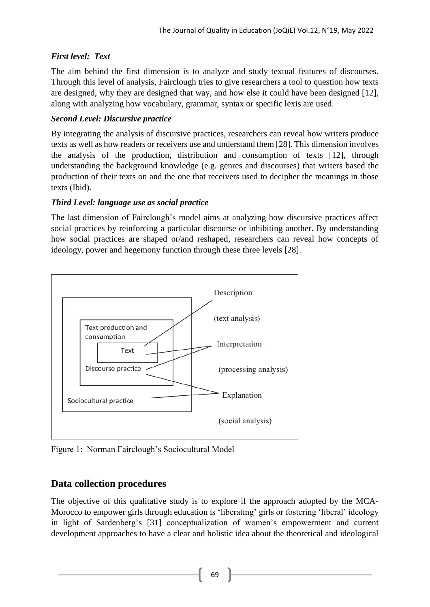## *First level: Text*

The aim behind the first dimension is to analyze and study textual features of discourses. Through this level of analysis, Fairclough tries to give researchers a tool to question how texts are designed, why they are designed that way, and how else it could have been designed [12], along with analyzing how vocabulary, grammar, syntax or specific lexis are used.

## *Second Level: Discursive practice*

By integrating the analysis of discursive practices, researchers can reveal how writers produce texts as well as how readers or receivers use and understand them [28]. This dimension involves the analysis of the production, distribution and consumption of texts [12], through understanding the background knowledge (e.g. genres and discourses) that writers based the production of their texts on and the one that receivers used to decipher the meanings in those texts (Ibid).

## *Third Level: language use as social practice*

The last dimension of Fairclough's model aims at analyzing how discursive practices affect social practices by reinforcing a particular discourse or inhibiting another. By understanding how social practices are shaped or/and reshaped, researchers can reveal how concepts of ideology, power and hegemony function through these three levels [28].



Figure 1: Norman Fairclough's Sociocultural Model

# **Data collection procedures**

The objective of this qualitative study is to explore if the approach adopted by the MCA-Morocco to empower girls through education is 'liberating' girls or fostering 'liberal' ideology in light of Sardenberg's [31] conceptualization of women's empowerment and current development approaches to have a clear and holistic idea about the theoretical and ideological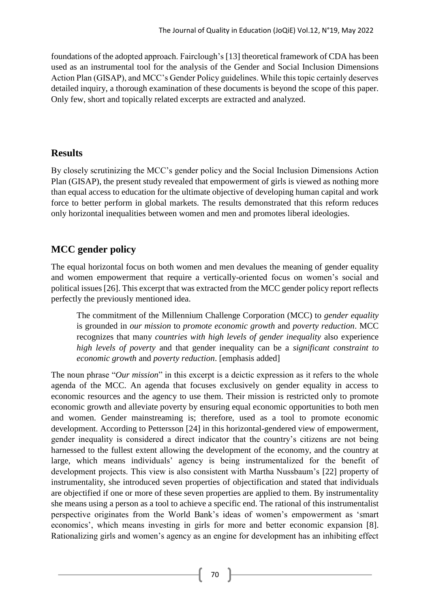foundations of the adopted approach. Fairclough's [13] theoretical framework of CDA has been used as an instrumental tool for the analysis of the Gender and Social Inclusion Dimensions Action Plan (GISAP), and MCC's Gender Policy guidelines. While this topic certainly deserves detailed inquiry, a thorough examination of these documents is beyond the scope of this paper. Only few, short and topically related excerpts are extracted and analyzed.

## **Results**

By closely scrutinizing the MCC's gender policy and the Social Inclusion Dimensions Action Plan (GISAP), the present study revealed that empowerment of girls is viewed as nothing more than equal access to education for the ultimate objective of developing human capital and work force to better perform in global markets. The results demonstrated that this reform reduces only horizontal inequalities between women and men and promotes liberal ideologies.

# **MCC gender policy**

The equal horizontal focus on both women and men devalues the meaning of gender equality and women empowerment that require a vertically-oriented focus on women's social and political issues [26]. This excerpt that was extracted from the MCC gender policy report reflects perfectly the previously mentioned idea.

The commitment of the Millennium Challenge Corporation (MCC) to *gender equality* is grounded in *our mission* to *promote economic growth* and *poverty reduction*. MCC recognizes that many *countries with high levels of gender inequality* also experience *high levels of poverty* and that gender inequality can be a *significant constraint to economic growth* and *poverty reduction*. [emphasis added]

The noun phrase "*Our mission*" in this excerpt is a deictic expression as it refers to the whole agenda of the MCC. An agenda that focuses exclusively on gender equality in access to economic resources and the agency to use them. Their mission is restricted only to promote economic growth and alleviate poverty by ensuring equal economic opportunities to both men and women. Gender mainstreaming is; therefore, used as a tool to promote economic development. According to Pettersson [24] in this horizontal-gendered view of empowerment, gender inequality is considered a direct indicator that the country's citizens are not being harnessed to the fullest extent allowing the development of the economy, and the country at large, which means individuals' agency is being instrumentalized for the benefit of development projects. This view is also consistent with Martha Nussbaum's [22] property of instrumentality, she introduced seven properties of objectification and stated that individuals are objectified if one or more of these seven properties are applied to them. By instrumentality she means using a person as a tool to achieve a specific end. The rational of this instrumentalist perspective originates from the World Bank's ideas of women's empowerment as 'smart economics', which means investing in girls for more and better economic expansion [8]. Rationalizing girls and women's agency as an engine for development has an inhibiting effect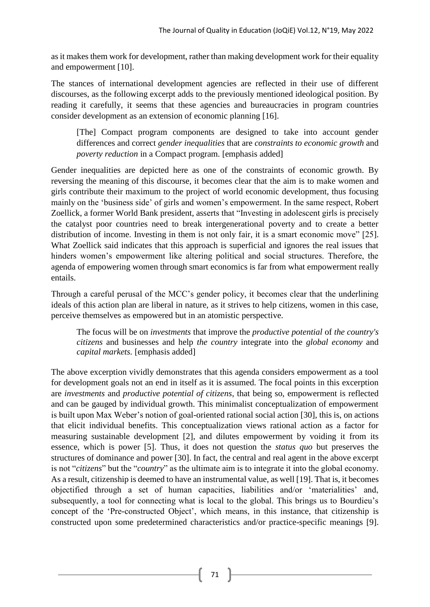as it makes them work for development, rather than making development work for their equality and empowerment [10].

The stances of international development agencies are reflected in their use of different discourses, as the following excerpt adds to the previously mentioned ideological position. By reading it carefully, it seems that these agencies and bureaucracies in program countries consider development as an extension of economic planning [16].

[The] Compact program components are designed to take into account gender differences and correct *gender inequalities* that are *constraints to economic growth* and *poverty reduction* in a Compact program. [emphasis added]

Gender inequalities are depicted here as one of the constraints of economic growth. By reversing the meaning of this discourse, it becomes clear that the aim is to make women and girls contribute their maximum to the project of world economic development, thus focusing mainly on the 'business side' of girls and women's empowerment. In the same respect, Robert Zoellick, a former World Bank president, asserts that "Investing in adolescent girls is precisely the catalyst poor countries need to break intergenerational poverty and to create a better distribution of income. Investing in them is not only fair, it is a smart economic move" [25]. What Zoellick said indicates that this approach is superficial and ignores the real issues that hinders women's empowerment like altering political and social structures. Therefore, the agenda of empowering women through smart economics is far from what empowerment really entails.

Through a careful perusal of the MCC's gender policy, it becomes clear that the underlining ideals of this action plan are liberal in nature, as it strives to help citizens, women in this case, perceive themselves as empowered but in an atomistic perspective.

The focus will be on *investments* that improve the *productive potential* of *the country's citizens* and businesses and help *the country* integrate into the *global economy* and *capital markets.* [emphasis added]

The above excerption vividly demonstrates that this agenda considers empowerment as a tool for development goals not an end in itself as it is assumed. The focal points in this excerption are *investments* and *productive potential of citizens*, that being so, empowerment is reflected and can be gauged by individual growth. This minimalist conceptualization of empowerment is built upon Max Weber's notion of goal-oriented rational social action [30], this is, on actions that elicit individual benefits. This conceptualization views rational action as a factor for measuring sustainable development [2], and dilutes empowerment by voiding it from its essence, which is power [5]. Thus, it does not question the *status quo* but preserves the structures of dominance and power [30]. In fact, the central and real agent in the above excerpt is not "*citizens*" but the "*country*" as the ultimate aim is to integrate it into the global economy. As a result, citizenship is deemed to have an instrumental value, as well [19]. That is, it becomes objectified through a set of human capacities, liabilities and/or 'materialities' and, subsequently, a tool for connecting what is local to the global. This brings us to Bourdieu's concept of the 'Pre-constructed Object', which means, in this instance, that citizenship is constructed upon some predetermined characteristics and/or practice-specific meanings [9].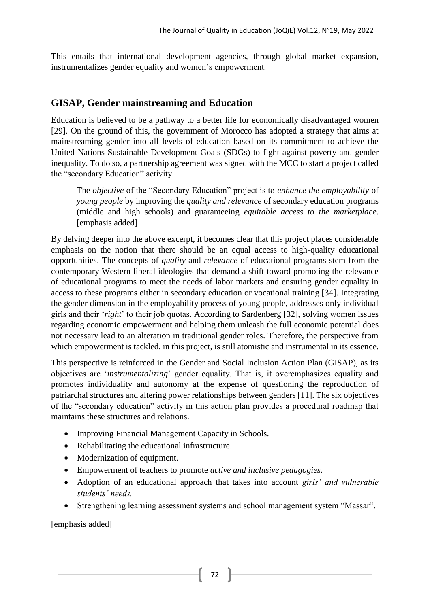This entails that international development agencies, through global market expansion, instrumentalizes gender equality and women's empowerment.

# **GISAP, Gender mainstreaming and Education**

Education is believed to be a pathway to a better life for economically disadvantaged women [29]. On the ground of this, the government of Morocco has adopted a strategy that aims at mainstreaming gender into all levels of education based on its commitment to achieve the United Nations Sustainable Development Goals (SDGs) to fight against poverty and gender inequality. To do so, a partnership agreement was signed with the MCC to start a project called the "secondary Education" activity.

The *objective* of the "Secondary Education" project is to *enhance the employability* of *young people* by improving the *quality and relevance* of secondary education programs (middle and high schools) and guaranteeing *equitable access to the marketplace*. [emphasis added]

By delving deeper into the above excerpt, it becomes clear that this project places considerable emphasis on the notion that there should be an equal access to high-quality educational opportunities. The concepts of *quality* and *relevance* of educational programs stem from the contemporary Western liberal ideologies that demand a shift toward promoting the relevance of educational programs to meet the needs of labor markets and ensuring gender equality in access to these programs either in secondary education or vocational training [34]. Integrating the gender dimension in the employability process of young people, addresses only individual girls and their '*right*' to their job quotas. According to Sardenberg [32], solving women issues regarding economic empowerment and helping them unleash the full economic potential does not necessary lead to an alteration in traditional gender roles. Therefore, the perspective from which empowerment is tackled, in this project, is still atomistic and instrumental in its essence.

This perspective is reinforced in the Gender and Social Inclusion Action Plan (GISAP), as its objectives are '*instrumentalizing*' gender equality. That is, it overemphasizes equality and promotes individuality and autonomy at the expense of questioning the reproduction of patriarchal structures and altering power relationships between genders [11]. The six objectives of the "secondary education" activity in this action plan provides a procedural roadmap that maintains these structures and relations.

- Improving Financial Management Capacity in Schools.
- Rehabilitating the educational infrastructure.
- Modernization of equipment.
- Empowerment of teachers to promote *active and inclusive pedagogies.*
- Adoption of an educational approach that takes into account *girls' and vulnerable students' needs.*
- Strengthening learning assessment systems and school management system "Massar".

[emphasis added]

72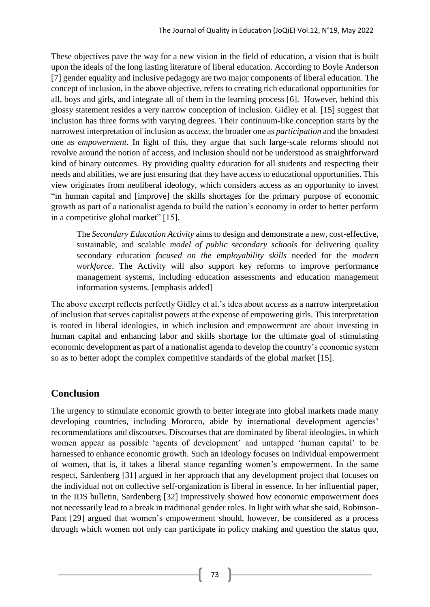These objectives pave the way for a new vision in the field of education, a vision that is built upon the ideals of the long lasting literature of liberal education. According to Boyle Anderson [7] gender equality and inclusive pedagogy are two major components of liberal education. The concept of inclusion, in the above objective, refers to creating rich educational opportunities for all, boys and girls, and integrate all of them in the learning process [6]. However, behind this glossy statement resides a very narrow conception of inclusion. Gidley et al. [15] suggest that inclusion has three forms with varying degrees. Their continuum-like conception starts by the narrowest interpretation of inclusion as *access*, the broader one as *participation* and the broadest one as *empowerment*. In light of this, they argue that such large-scale reforms should not revolve around the notion of access, and inclusion should not be understood as straightforward kind of binary outcomes. By providing quality education for all students and respecting their needs and abilities, we are just ensuring that they have access to educational opportunities. This view originates from neoliberal ideology, which considers access as an opportunity to invest "in human capital and [improve] the skills shortages for the primary purpose of economic growth as part of a nationalist agenda to build the nation's economy in order to better perform in a competitive global market" [15].

The *Secondary Education Activity* aims to design and demonstrate a new, cost-effective, sustainable, and scalable *model of public secondary schools* for delivering quality secondary education *focused on the employability skills* needed for the *modern workforce*. The Activity will also support key reforms to improve performance management systems, including education assessments and education management information systems. [emphasis added]

The above excerpt reflects perfectly Gidley et al.'s idea about *access* as a narrow interpretation of inclusion that serves capitalist powers at the expense of empowering girls. This interpretation is rooted in liberal ideologies, in which inclusion and empowerment are about investing in human capital and enhancing labor and skills shortage for the ultimate goal of stimulating economic development as part of a nationalist agenda to develop the country's economic system so as to better adopt the complex competitive standards of the global market [15].

# **Conclusion**

The urgency to stimulate economic growth to better integrate into global markets made many developing countries, including Morocco, abide by international development agencies' recommendations and discourses. Discourses that are dominated by liberal ideologies, in which women appear as possible 'agents of development' and untapped 'human capital' to be harnessed to enhance economic growth. Such an ideology focuses on individual empowerment of women, that is, it takes a liberal stance regarding women's empowerment. In the same respect, Sardenberg [31] argued in her approach that any development project that focuses on the individual not on collective self-organization is liberal in essence. In her influential paper, in the IDS bulletin, Sardenberg [32] impressively showed how economic empowerment does not necessarily lead to a break in traditional gender roles. In light with what she said, Robinson-Pant [29] argued that women's empowerment should, however, be considered as a process through which women not only can participate in policy making and question the status quo,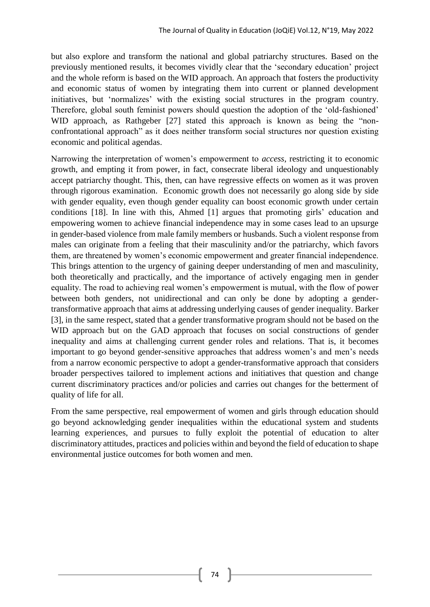but also explore and transform the national and global patriarchy structures. Based on the previously mentioned results, it becomes vividly clear that the 'secondary education' project and the whole reform is based on the WID approach. An approach that fosters the productivity and economic status of women by integrating them into current or planned development initiatives, but 'normalizes' with the existing social structures in the program country. Therefore, global south feminist powers should question the adoption of the 'old-fashioned' WID approach, as Rathgeber [27] stated this approach is known as being the "nonconfrontational approach" as it does neither transform social structures nor question existing economic and political agendas.

Narrowing the interpretation of women's empowerment to *access*, restricting it to economic growth, and empting it from power, in fact, consecrate liberal ideology and unquestionably accept patriarchy thought. This, then, can have regressive effects on women as it was proven through rigorous examination. Economic growth does not necessarily go along side by side with gender equality, even though gender equality can boost economic growth under certain conditions [18]. In line with this, Ahmed [1] argues that promoting girls' education and empowering women to achieve financial independence may in some cases lead to an upsurge in gender-based violence from male family members or husbands. Such a violent response from males can originate from a feeling that their masculinity and/or the patriarchy, which favors them, are threatened by women's economic empowerment and greater financial independence. This brings attention to the urgency of gaining deeper understanding of men and masculinity, both theoretically and practically, and the importance of actively engaging men in gender equality. The road to achieving real women's empowerment is mutual, with the flow of power between both genders, not unidirectional and can only be done by adopting a gendertransformative approach that aims at addressing underlying causes of gender inequality. Barker [3], in the same respect, stated that a gender transformative program should not be based on the WID approach but on the GAD approach that focuses on social constructions of gender inequality and aims at challenging current gender roles and relations. That is, it becomes important to go beyond gender-sensitive approaches that address women's and men's needs from a narrow economic perspective to adopt a gender-transformative approach that considers broader perspectives tailored to implement actions and initiatives that question and change current discriminatory practices and/or policies and carries out changes for the betterment of quality of life for all.

From the same perspective, real empowerment of women and girls through education should go beyond acknowledging gender inequalities within the educational system and students learning experiences, and pursues to fully exploit the potential of education to alter discriminatory attitudes, practices and policies within and beyond the field of education to shape environmental justice outcomes for both women and men.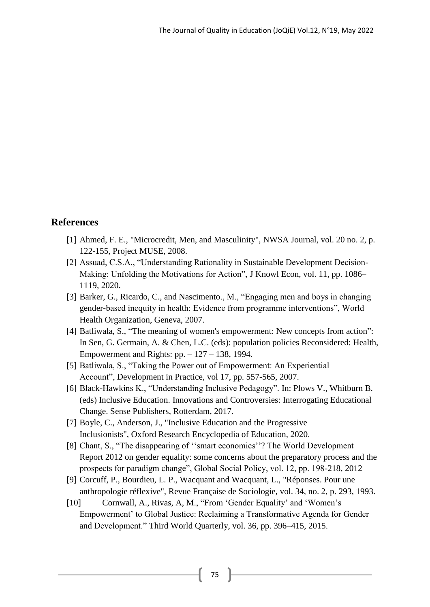#### **References**

- [1] Ahmed, F. E., "Microcredit, Men, and Masculinity", NWSA Journal, vol. 20 no. 2, p. 122-155, Project MUSE, 2008.
- [2] Assuad, C.S.A., "Understanding Rationality in Sustainable Development Decision-Making: Unfolding the Motivations for Action", J Knowl Econ, vol. 11, pp. 1086– 1119, 2020.
- [3] Barker, G., Ricardo, C., and Nascimento., M., "Engaging men and boys in changing gender-based inequity in health: Evidence from programme interventions", World Health Organization, Geneva, 2007.
- [4] Batliwala, S., "The meaning of women's empowerment: New concepts from action": In Sen, G. Germain, A. & Chen, L.C. (eds): population policies Reconsidered: Health, Empowerment and Rights: pp. – 127 – 138, 1994.
- [5] Batliwala, S., "Taking the Power out of Empowerment: An Experiential Account", Development in Practice, vol 17, pp. 557-565, 2007.
- [6] Black-Hawkins K., "Understanding Inclusive Pedagogy". In: Plows V., Whitburn B. (eds) Inclusive Education. Innovations and Controversies: Interrogating Educational Change. Sense Publishers, Rotterdam, 2017.
- [7] Boyle, C., Anderson, J., "Inclusive Education and the Progressive Inclusionists", Oxford Research Encyclopedia of Education, 2020.
- [8] Chant, S., "The disappearing of ''smart economics''? The World Development Report 2012 on gender equality: some concerns about the preparatory process and the prospects for paradigm change", Global Social Policy, vol. 12, pp. 198-218, 2012
- [9] Corcuff, P., Bourdieu, L. P., Wacquant and Wacquant, L., "Réponses. Pour une anthropologie réflexive", Revue Française de Sociologie, vol. 34, no. 2, p. 293, 1993.
- [10] Cornwall, A., Rivas, A, M., "From 'Gender Equality' and 'Women's Empowerment' to Global Justice: Reclaiming a Transformative Agenda for Gender and Development." Third World Quarterly, vol. 36, pp. 396–415, 2015.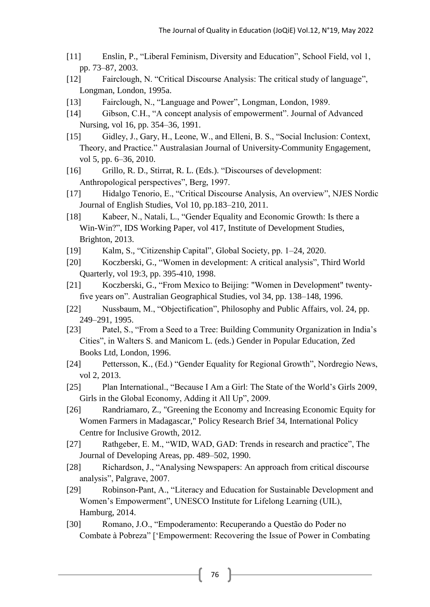- [11] Enslin, P., "Liberal Feminism, Diversity and Education", School Field, vol 1, pp. 73–87, 2003.
- [12] Fairclough, N. "Critical Discourse Analysis: The critical study of language", Longman, London, 1995a.
- [13] Fairclough, N., "Language and Power", Longman, London, 1989.
- [14] Gibson, C.H., "A concept analysis of empowerment". Journal of Advanced Nursing, vol 16, pp. 354–36, 1991.
- [15] Gidley, J., Gary, H., Leone, W., and Elleni, B. S., "Social Inclusion: Context, Theory, and Practice." Australasian Journal of University-Community Engagement, vol 5, pp. 6–36, 2010.
- [16] Grillo, R. D., Stirrat, R. L. (Eds.). "Discourses of development: Anthropological perspectives", Berg, 1997.
- [17] Hidalgo Tenorio, E., "Critical Discourse Analysis, An overview", NJES Nordic Journal of English Studies, Vol 10, pp.183–210, 2011.
- [18] Kabeer, N., Natali, L., "Gender Equality and Economic Growth: Is there a Win-Win?", IDS Working Paper, vol 417, Institute of Development Studies, Brighton, 2013.
- [19] Kalm, S., "Citizenship Capital", Global Society, pp. 1–24, 2020.
- [20] Koczberski, G., "Women in development: A critical analysis", Third World Quarterly, vol 19:3, pp. 395-410, 1998.
- [21] Koczberski, G., "From Mexico to Beijing: "Women in Development" twentyfive years on". Australian Geographical Studies, vol 34, pp. 138–148, 1996.
- [22] Nussbaum, M., "Objectification", Philosophy and Public Affairs, vol. 24, pp. 249–291, 1995.
- [23] Patel, S., "From a Seed to a Tree: Building Community Organization in India's Cities", in Walters S. and Manicom L. (eds.) Gender in Popular Education, Zed Books Ltd, London, 1996.
- [24] Pettersson, K., (Ed.) "Gender Equality for Regional Growth", Nordregio News, vol 2, 2013.
- [25] Plan International., "Because I Am a Girl: The State of the World's Girls 2009, Girls in the Global Economy, Adding it All Up", 2009.
- [26] Randriamaro, Z., ["Greening the Economy and Increasing Economic Equity for](https://ideas.repec.org/p/ipc/pbrief/34.html)  [Women Farmers in Madagascar,](https://ideas.repec.org/p/ipc/pbrief/34.html)" [Policy Research Brief](https://ideas.repec.org/s/ipc/pbrief.html) 34, International Policy Centre for Inclusive Growth, 2012.
- [27] Rathgeber, E. M., "WID, WAD, GAD: Trends in research and practice", The Journal of Developing Areas, pp. 489–502, 1990.
- [28] Richardson, J., "Analysing Newspapers: An approach from critical discourse analysis", Palgrave, 2007.
- [29] Robinson-Pant, A., "Literacy and Education for Sustainable Development and Women's Empowerment", UNESCO Institute for Lifelong Learning (UIL), Hamburg, 2014.
- [30] Romano, J.O., "Empoderamento: Recuperando a Questão do Poder no Combate à Pobreza" ['Empowerment: Recovering the Issue of Power in Combating